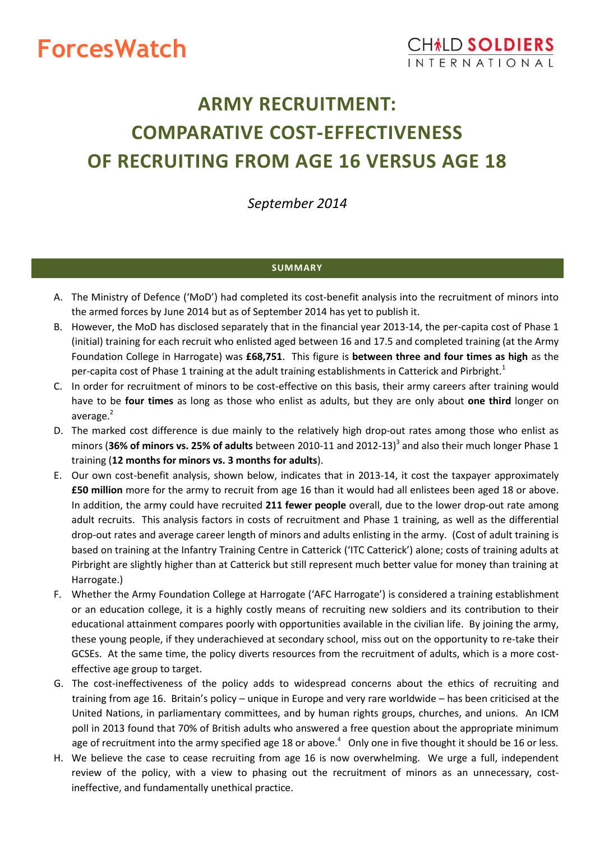# **ForcesWatch**

## **ARMY RECRUITMENT: COMPARATIVE COST-EFFECTIVENESS OF RECRUITING FROM AGE 16 VERSUS AGE 18**

*September 2014*

## <span id="page-0-0"></span>**SUMMARY**

- A. The Ministry of Defence ('MoD') had completed its cost-benefit analysis into the recruitment of minors into the armed forces by June 2014 but as of September 2014 has yet to publish it.
- B. However, the MoD has disclosed separately that in the financial year 2013-14, the per-capita cost of Phase 1 (initial) training for each recruit who enlisted aged between 16 and 17.5 and completed training (at the Army Foundation College in Harrogate) was **£68,751**. This figure is **between three and four times as high** as the per-capita cost of Phase 1 training at the adult training establishments in Catterick and Pirbright.<sup>1</sup>
- C. In order for recruitment of minors to be cost-effective on this basis, their army careers after training would have to be **four times** as long as those who enlist as adults, but they are only about **one third** longer on average. $2$
- <span id="page-0-1"></span>D. The marked cost difference is due mainly to the relatively high drop-out rates among those who enlist as minors (36% of minors vs. 25% of adults between 2010-11 and 2012-13)<sup>3</sup> and also their much longer Phase 1 training (**12 months for minors vs. 3 months for adults**).
- E. Our own cost-benefit analysis, shown below, indicates that in 2013-14, it cost the taxpayer approximately **£50 million** more for the army to recruit from age 16 than it would had all enlistees been aged 18 or above. In addition, the army could have recruited **211 fewer people** overall, due to the lower drop-out rate among adult recruits. This analysis factors in costs of recruitment and Phase 1 training, as well as the differential drop-out rates and average career length of minors and adults enlisting in the army. (Cost of adult training is based on training at the Infantry Training Centre in Catterick ('ITC Catterick') alone; costs of training adults at Pirbright are slightly higher than at Catterick but still represent much better value for money than training at Harrogate.)
- F. Whether the Army Foundation College at Harrogate ('AFC Harrogate') is considered a training establishment or an education college, it is a highly costly means of recruiting new soldiers and its contribution to their educational attainment compares poorly with opportunities available in the civilian life. By joining the army, these young people, if they underachieved at secondary school, miss out on the opportunity to re-take their GCSEs. At the same time, the policy diverts resources from the recruitment of adults, which is a more costeffective age group to target.
- G. The cost-ineffectiveness of the policy adds to widespread concerns about the ethics of recruiting and training from age 16. Britain's policy – unique in Europe and very rare worldwide – has been criticised at the United Nations, in parliamentary committees, and by human rights groups, churches, and unions. An ICM poll in 2013 found that 70% of British adults who answered a free question about the appropriate minimum age of recruitment into the army specified age 18 or above.<sup>4</sup> Only one in five thought it should be 16 or less.
- H. We believe the case to cease recruiting from age 16 is now overwhelming. We urge a full, independent review of the policy, with a view to phasing out the recruitment of minors as an unnecessary, costineffective, and fundamentally unethical practice.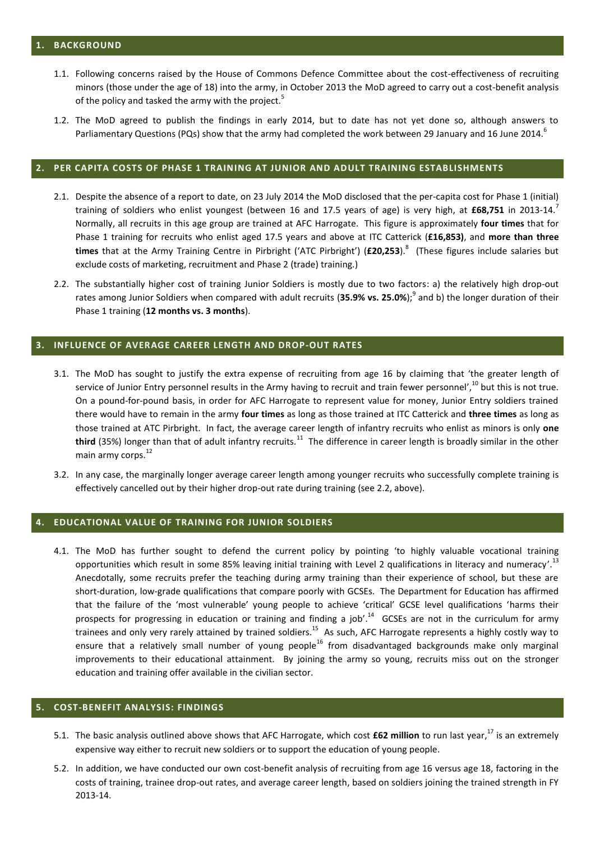- 1.1. Following concerns raised by the House of Commons Defence Committee about the cost-effectiveness of recruiting minors (those under the age of 18) into the army, in October 2013 the MoD agreed to carry out a cost-benefit analysis of the policy and tasked the army with the project.<sup>5</sup>
- 1.2. The MoD agreed to publish the findings in early 2014, but to date has not yet done so, although answers to Parliamentary Questions (PQs) show that the army had completed the work between 29 January and 16 June 2014.<sup>6</sup>

#### **2. PER CAPITA COSTS OF PHASE 1 TRAINING AT JUNIOR AND ADULT TRAINING ESTABLISHMENTS**

- 2.1. Despite the absence of a report to date, on 23 July 2014 the MoD disclosed that the per-capita cost for Phase 1 (initial) training of soldiers who enlist youngest (between 16 and 17.5 years of age) is very high, at **£68,751** in 2013-14. 7 Normally, all recruits in this age group are trained at AFC Harrogate. This figure is approximately **four times** that for Phase 1 training for recruits who enlist aged 17.5 years and above at ITC Catterick (**£16,853)**, and **more than three times** that at the Army Training Centre in Pirbright ('ATC Pirbright') (**£20,253**). 8 (These figures include salaries but exclude costs of marketing, recruitment and Phase 2 (trade) training.)
- <span id="page-1-0"></span>2.2. The substantially higher cost of training Junior Soldiers is mostly due to two factors: a) the relatively high drop-out rates among Junior Soldiers when compared with adult recruits (**35.9% vs. 25.0%**); 9 and b) the longer duration of their Phase 1 training (**12 months vs. 3 months**).

#### **3. INFLUENCE OF AVERAGE CAREER LENGTH AND DROP-OUT RATES**

- 3.1. The MoD has sought to justify the extra expense of recruiting from age 16 by claiming that 'the greater length of service of Junior Entry personnel results in the Army having to recruit and train fewer personnel',<sup>10</sup> but this is not true. On a pound-for-pound basis, in order for AFC Harrogate to represent value for money, Junior Entry soldiers trained there would have to remain in the army **four times** as long as those trained at ITC Catterick and **three times** as long as those trained at ATC Pirbright. In fact, the average career length of infantry recruits who enlist as minors is only **one**  third (35%) longer than that of adult infantry recruits.<sup>11</sup> The difference in career length is broadly similar in the other main army corps.<sup>12</sup>
- 3.2. In any case, the marginally longer average career length among younger recruits who successfully complete training is effectively cancelled out by their higher drop-out rate during training (see [2.2,](#page-1-0) above).

#### **4. EDUCATIONAL VALUE OF TRAINING FOR JUNIOR SOLDIERS**

4.1. The MoD has further sought to defend the current policy by pointing 'to highly valuable vocational training opportunities which result in some 85% leaving initial training with Level 2 qualifications in literacy and numeracy'.<sup>13</sup> Anecdotally, some recruits prefer the teaching during army training than their experience of school, but these are short-duration, low-grade qualifications that compare poorly with GCSEs. The Department for Education has affirmed that the failure of the 'most vulnerable' young people to achieve 'critical' GCSE level qualifications 'harms their prospects for progressing in education or training and finding a job'.<sup>14</sup> GCSEs are not in the curriculum for army trainees and only very rarely attained by trained soldiers.<sup>15</sup> As such, AFC Harrogate represents a highly costly way to ensure that a relatively small number of young people<sup>16</sup> from disadvantaged backgrounds make only marginal improvements to their educational attainment. By joining the army so young, recruits miss out on the stronger education and training offer available in the civilian sector.

### **5. COST-BENEFIT ANALYSIS: FINDINGS**

- 5.1. The basic analysis outlined above shows that AFC Harrogate, which cost **£62 million** to run last year, <sup>17</sup> is an extremely expensive way either to recruit new soldiers or to support the education of young people.
- 5.2. In addition, we have conducted our own cost-benefit analysis of recruiting from age 16 versus age 18, factoring in the costs of training, trainee drop-out rates, and average career length, based on soldiers joining the trained strength in FY 2013-14.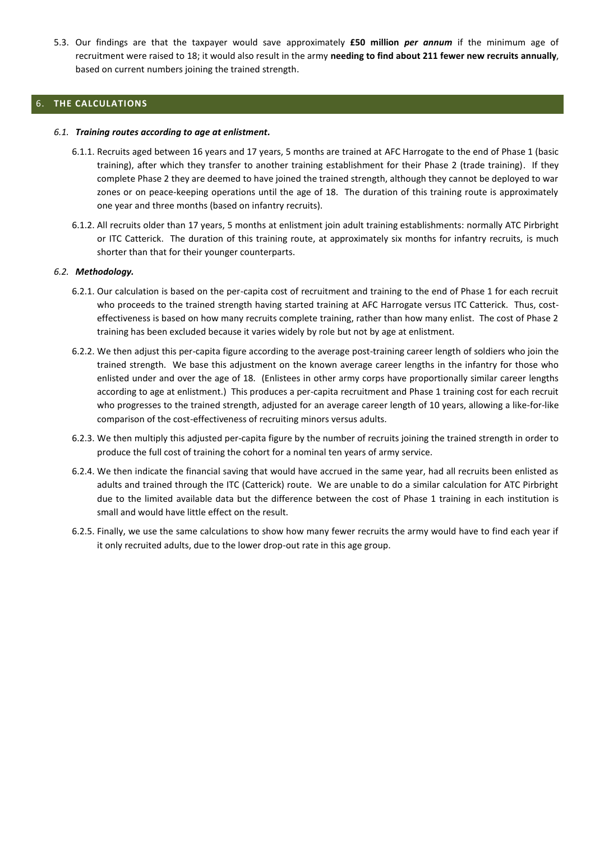5.3. Our findings are that the taxpayer would save approximately **£50 million** *per annum* if the minimum age of recruitment were raised to 18; it would also result in the army **needing to find about 211 fewer new recruits annually**, based on current numbers joining the trained strength.

## 6. **THE CALCULATIONS**

#### *6.1. Training routes according to age at enlistment.*

- 6.1.1. Recruits aged between 16 years and 17 years, 5 months are trained at AFC Harrogate to the end of Phase 1 (basic training), after which they transfer to another training establishment for their Phase 2 (trade training). If they complete Phase 2 they are deemed to have joined the trained strength, although they cannot be deployed to war zones or on peace-keeping operations until the age of 18. The duration of this training route is approximately one year and three months (based on infantry recruits).
- 6.1.2. All recruits older than 17 years, 5 months at enlistment join adult training establishments: normally ATC Pirbright or ITC Catterick. The duration of this training route, at approximately six months for infantry recruits, is much shorter than that for their younger counterparts.

#### *6.2. Methodology.*

- 6.2.1. Our calculation is based on the per-capita cost of recruitment and training to the end of Phase 1 for each recruit who proceeds to the trained strength having started training at AFC Harrogate versus ITC Catterick. Thus, costeffectiveness is based on how many recruits complete training, rather than how many enlist. The cost of Phase 2 training has been excluded because it varies widely by role but not by age at enlistment.
- 6.2.2. We then adjust this per-capita figure according to the average post-training career length of soldiers who join the trained strength. We base this adjustment on the known average career lengths in the infantry for those who enlisted under and over the age of 18. (Enlistees in other army corps have proportionally similar career lengths according to age at enlistment.) This produces a per-capita recruitment and Phase 1 training cost for each recruit who progresses to the trained strength, adjusted for an average career length of 10 years, allowing a like-for-like comparison of the cost-effectiveness of recruiting minors versus adults.
- 6.2.3. We then multiply this adjusted per-capita figure by the number of recruits joining the trained strength in order to produce the full cost of training the cohort for a nominal ten years of army service.
- 6.2.4. We then indicate the financial saving that would have accrued in the same year, had all recruits been enlisted as adults and trained through the ITC (Catterick) route. We are unable to do a similar calculation for ATC Pirbright due to the limited available data but the difference between the cost of Phase 1 training in each institution is small and would have little effect on the result.
- 6.2.5. Finally, we use the same calculations to show how many fewer recruits the army would have to find each year if it only recruited adults, due to the lower drop-out rate in this age group.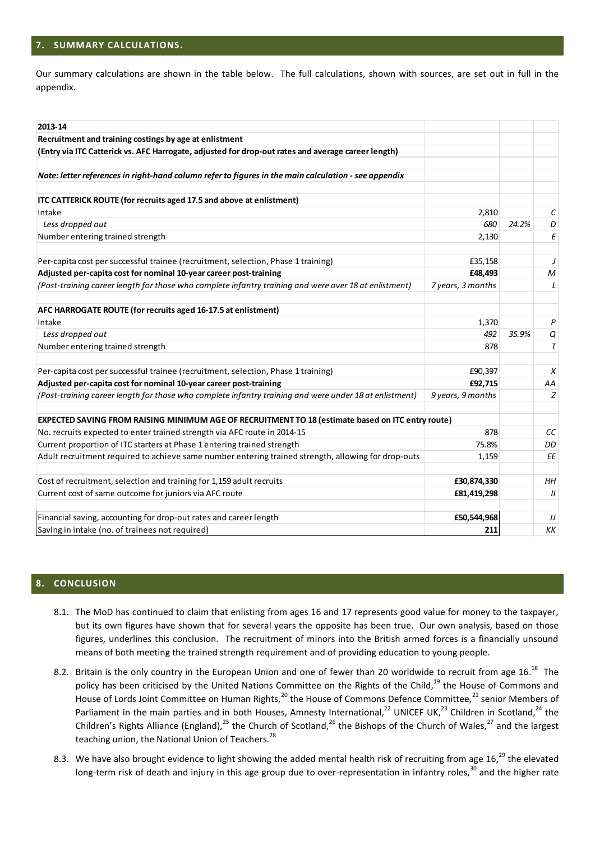### **7. SUMMARY CALCULATIONS.**

Our summary calculations are shown in the table below. The full calculations, shown with sources, are set out in full in the appendix.

| 2013-14 |                                                                                                                                                                                                                                                                                                                                                                                                                                                                                                                                                                                                                                                                                                                                                                                                           |                   |       |                   |
|---------|-----------------------------------------------------------------------------------------------------------------------------------------------------------------------------------------------------------------------------------------------------------------------------------------------------------------------------------------------------------------------------------------------------------------------------------------------------------------------------------------------------------------------------------------------------------------------------------------------------------------------------------------------------------------------------------------------------------------------------------------------------------------------------------------------------------|-------------------|-------|-------------------|
|         | Recruitment and training costings by age at enlistment                                                                                                                                                                                                                                                                                                                                                                                                                                                                                                                                                                                                                                                                                                                                                    |                   |       |                   |
|         | (Entry via ITC Catterick vs. AFC Harrogate, adjusted for drop-out rates and average career length)                                                                                                                                                                                                                                                                                                                                                                                                                                                                                                                                                                                                                                                                                                        |                   |       |                   |
|         |                                                                                                                                                                                                                                                                                                                                                                                                                                                                                                                                                                                                                                                                                                                                                                                                           |                   |       |                   |
|         | Note: letter references in right-hand column refer to figures in the main calculation - see appendix                                                                                                                                                                                                                                                                                                                                                                                                                                                                                                                                                                                                                                                                                                      |                   |       |                   |
|         | ITC CATTERICK ROUTE (for recruits aged 17.5 and above at enlistment)                                                                                                                                                                                                                                                                                                                                                                                                                                                                                                                                                                                                                                                                                                                                      |                   |       |                   |
| Intake  |                                                                                                                                                                                                                                                                                                                                                                                                                                                                                                                                                                                                                                                                                                                                                                                                           | 2,810             |       | С                 |
|         | Less dropped out                                                                                                                                                                                                                                                                                                                                                                                                                                                                                                                                                                                                                                                                                                                                                                                          | 680               | 24.2% | D                 |
|         | Number entering trained strength                                                                                                                                                                                                                                                                                                                                                                                                                                                                                                                                                                                                                                                                                                                                                                          | 2,130             |       | Ε                 |
|         |                                                                                                                                                                                                                                                                                                                                                                                                                                                                                                                                                                                                                                                                                                                                                                                                           |                   |       |                   |
|         | Per-capita cost per successful trainee (recruitment, selection, Phase 1 training)                                                                                                                                                                                                                                                                                                                                                                                                                                                                                                                                                                                                                                                                                                                         | £35,158           |       | J                 |
|         | Adjusted per-capita cost for nominal 10-year career post-training                                                                                                                                                                                                                                                                                                                                                                                                                                                                                                                                                                                                                                                                                                                                         | £48,493           |       | M                 |
|         | (Post-training career length for those who complete infantry training and were over 18 at enlistment)                                                                                                                                                                                                                                                                                                                                                                                                                                                                                                                                                                                                                                                                                                     | 7 years, 3 months |       | L                 |
|         | AFC HARROGATE ROUTE (for recruits aged 16-17.5 at enlistment)                                                                                                                                                                                                                                                                                                                                                                                                                                                                                                                                                                                                                                                                                                                                             |                   |       |                   |
| Intake  |                                                                                                                                                                                                                                                                                                                                                                                                                                                                                                                                                                                                                                                                                                                                                                                                           | 1,370             |       | P                 |
|         | Less dropped out                                                                                                                                                                                                                                                                                                                                                                                                                                                                                                                                                                                                                                                                                                                                                                                          | 492               | 35.9% | Q                 |
|         | Number entering trained strength                                                                                                                                                                                                                                                                                                                                                                                                                                                                                                                                                                                                                                                                                                                                                                          | 878               |       | T                 |
|         |                                                                                                                                                                                                                                                                                                                                                                                                                                                                                                                                                                                                                                                                                                                                                                                                           |                   |       |                   |
|         | Per-capita cost per successful trainee (recruitment, selection, Phase 1 training)                                                                                                                                                                                                                                                                                                                                                                                                                                                                                                                                                                                                                                                                                                                         | £90,397           |       | Х                 |
|         | Adjusted per-capita cost for nominal 10-year career post-training                                                                                                                                                                                                                                                                                                                                                                                                                                                                                                                                                                                                                                                                                                                                         | £92,715           |       | AA                |
|         | (Post-training career length for those who complete infantry training and were under 18 at enlistment)                                                                                                                                                                                                                                                                                                                                                                                                                                                                                                                                                                                                                                                                                                    | 9 years, 9 months |       | Z                 |
|         |                                                                                                                                                                                                                                                                                                                                                                                                                                                                                                                                                                                                                                                                                                                                                                                                           |                   |       |                   |
|         | EXPECTED SAVING FROM RAISING MINIMUM AGE OF RECRUITMENT TO 18 (estimate based on ITC entry route)                                                                                                                                                                                                                                                                                                                                                                                                                                                                                                                                                                                                                                                                                                         |                   |       |                   |
|         | No. recruits expected to enter trained strength via AFC route in 2014-15                                                                                                                                                                                                                                                                                                                                                                                                                                                                                                                                                                                                                                                                                                                                  | 878               |       | СC                |
|         | Current proportion of ITC starters at Phase 1 entering trained strength                                                                                                                                                                                                                                                                                                                                                                                                                                                                                                                                                                                                                                                                                                                                   | 75.8%             |       | DD                |
|         | Adult recruitment required to achieve same number entering trained strength, allowing for drop-outs                                                                                                                                                                                                                                                                                                                                                                                                                                                                                                                                                                                                                                                                                                       | 1,159             |       | ΕE                |
|         | Cost of recruitment, selection and training for 1,159 adult recruits                                                                                                                                                                                                                                                                                                                                                                                                                                                                                                                                                                                                                                                                                                                                      | £30,874,330       |       | HН                |
|         | Current cost of same outcome for juniors via AFC route                                                                                                                                                                                                                                                                                                                                                                                                                                                                                                                                                                                                                                                                                                                                                    | £81,419,298       |       | $^{\prime\prime}$ |
|         |                                                                                                                                                                                                                                                                                                                                                                                                                                                                                                                                                                                                                                                                                                                                                                                                           |                   |       |                   |
|         | Financial saving, accounting for drop-out rates and career length                                                                                                                                                                                                                                                                                                                                                                                                                                                                                                                                                                                                                                                                                                                                         | £50,544,968       |       | IJ                |
|         | Saving in intake (no. of trainees not required)                                                                                                                                                                                                                                                                                                                                                                                                                                                                                                                                                                                                                                                                                                                                                           | 211               |       | KΚ                |
| 8.      | <b>CONCLUSION</b>                                                                                                                                                                                                                                                                                                                                                                                                                                                                                                                                                                                                                                                                                                                                                                                         |                   |       |                   |
|         |                                                                                                                                                                                                                                                                                                                                                                                                                                                                                                                                                                                                                                                                                                                                                                                                           |                   |       |                   |
|         | 8.1. The MoD has continued to claim that enlisting from ages 16 and 17 represents good value for money to the taxpayer,<br>but its own figures have shown that for several years the opposite has been true. Our own analysis, based on those<br>figures, underlines this conclusion. The recruitment of minors into the British armed forces is a financially unsound<br>means of both meeting the trained strength requirement and of providing education to young people.                                                                                                                                                                                                                                                                                                                              |                   |       |                   |
|         | 8.2. Britain is the only country in the European Union and one of fewer than 20 worldwide to recruit from age 16. <sup>18</sup> The<br>policy has been criticised by the United Nations Committee on the Rights of the Child, <sup>19</sup> the House of Commons and<br>House of Lords Joint Committee on Human Rights, <sup>20</sup> the House of Commons Defence Committee, <sup>21</sup> senior Members of<br>Parliament in the main parties and in both Houses, Amnesty International, <sup>22</sup> UNICEF UK, <sup>23</sup> Children in Scotland, <sup>24</sup> the<br>Children's Rights Alliance (England), <sup>25</sup> the Church of Scotland, <sup>26</sup> the Bishops of the Church of Wales, <sup>27</sup> and the largest<br>teaching union, the National Union of Teachers. <sup>28</sup> |                   |       |                   |
|         | 8.3. We have also brought evidence to light showing the added mental health risk of recruiting from age 16, <sup>29</sup> the elevated<br>long-term risk of death and injury in this age group due to over-representation in infantry roles, <sup>30</sup> and the higher rate                                                                                                                                                                                                                                                                                                                                                                                                                                                                                                                            |                   |       |                   |

#### **8. CONCLUSION**

- 8.1. The MoD has continued to claim that enlisting from ages 16 and 17 represents good value for money to the taxpayer, but its own figures have shown that for several years the opposite has been true. Our own analysis, based on those figures, underlines this conclusion. The recruitment of minors into the British armed forces is a financially unsound means of both meeting the trained strength requirement and of providing education to young people.
- 8.2. Britain is the only country in the European Union and one of fewer than 20 worldwide to recruit from age 16. $^{18}$  The policy has been criticised by the United Nations Committee on the Rights of the Child,<sup>19</sup> the House of Commons and House of Lords Joint Committee on Human Rights,<sup>20</sup> the House of Commons Defence Committee,<sup>21</sup> senior Members of Parliament in the main parties and in both Houses, Amnesty International,<sup>22</sup> UNICEF UK,<sup>23</sup> Children in Scotland,<sup>24</sup> the Children's Rights Alliance (England),<sup>25</sup> the Church of Scotland,<sup>26</sup> the Bishops of the Church of Wales,<sup>27</sup> and the largest teaching union, the National Union of Teachers.<sup>28</sup>
- 8.3. We have also brought evidence to light showing the added mental health risk of recruiting from age 16, $^{29}$  the elevated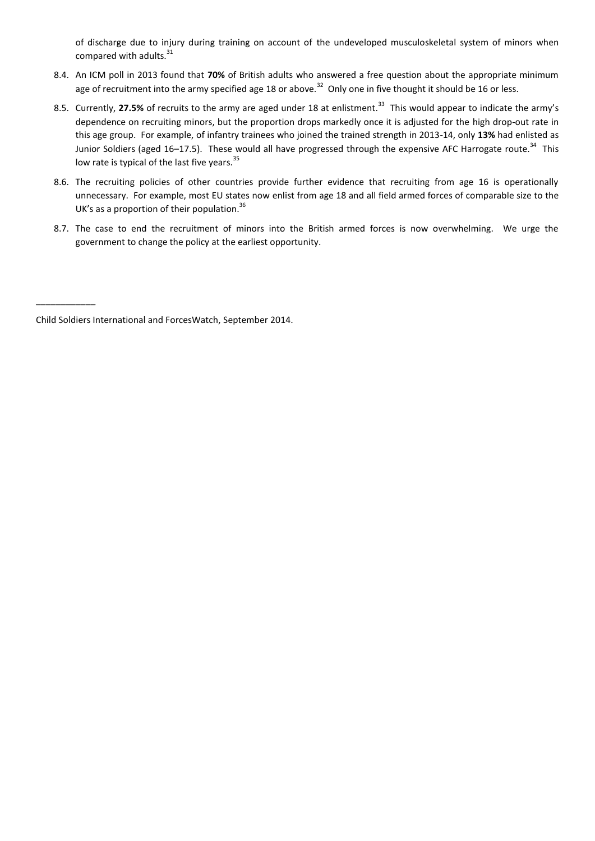of discharge due to injury during training on account of the undeveloped musculoskeletal system of minors when compared with adults.<sup>31</sup>

- 8.4. An ICM poll in 2013 found that **70%** of British adults who answered a free question about the appropriate minimum age of recruitment into the army specified age 18 or above.<sup>32</sup> Only one in five thought it should be 16 or less.
- 8.5. Currently, 27.5% of recruits to the army are aged under 18 at enlistment.<sup>33</sup> This would appear to indicate the army's dependence on recruiting minors, but the proportion drops markedly once it is adjusted for the high drop-out rate in this age group. For example, of infantry trainees who joined the trained strength in 2013-14, only **13%** had enlisted as Junior Soldiers (aged 16–17.5). These would all have progressed through the expensive AFC Harrogate route.<sup>34</sup> This low rate is typical of the last five years.<sup>35</sup>
- 8.6. The recruiting policies of other countries provide further evidence that recruiting from age 16 is operationally unnecessary. For example, most EU states now enlist from age 18 and all field armed forces of comparable size to the UK's as a proportion of their population.<sup>36</sup>
- 8.7. The case to end the recruitment of minors into the British armed forces is now overwhelming. We urge the government to change the policy at the earliest opportunity.

\_\_\_\_\_\_\_\_\_\_\_\_

Child Soldiers International and ForcesWatch, September 2014.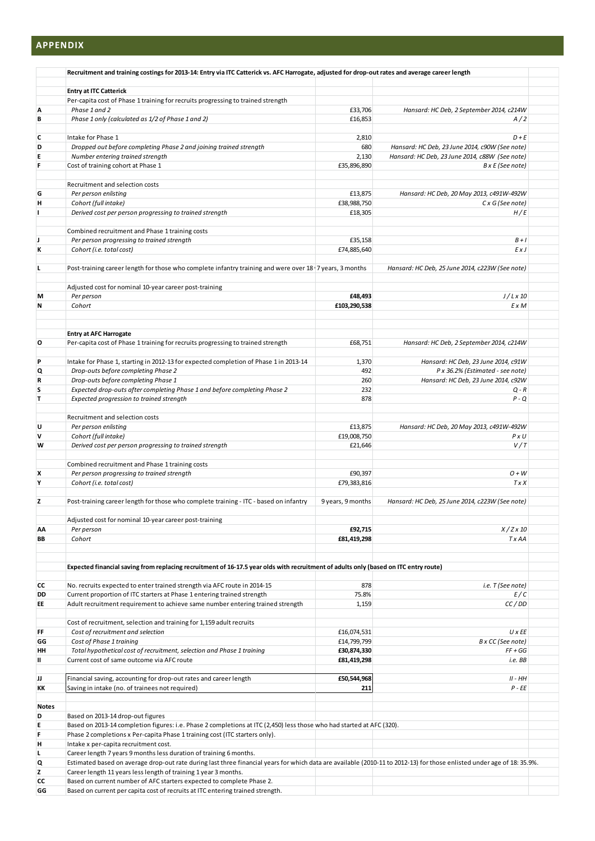## **APPENDIX**

|          | Recruitment and training costings for 2013-14: Entry via ITC Catterick vs. AFC Harrogate, adjusted for drop-out rates and average career length                         |                            |                                                 |  |  |
|----------|-------------------------------------------------------------------------------------------------------------------------------------------------------------------------|----------------------------|-------------------------------------------------|--|--|
|          |                                                                                                                                                                         |                            |                                                 |  |  |
|          | <b>Entry at ITC Catterick</b><br>Per-capita cost of Phase 1 training for recruits progressing to trained strength                                                       |                            |                                                 |  |  |
| А        | Phase 1 and 2                                                                                                                                                           | £33,706                    | Hansard: HC Deb, 2 September 2014, c214W        |  |  |
| В        | Phase 1 only (calculated as 1/2 of Phase 1 and 2)                                                                                                                       | £16,853                    | A/2                                             |  |  |
| c        | Intake for Phase 1                                                                                                                                                      | 2,810                      | $D + E$                                         |  |  |
| D        | Dropped out before completing Phase 2 and joining trained strength                                                                                                      | 680                        | Hansard: HC Deb, 23 June 2014, c90W (See note)  |  |  |
| E        | Number entering trained strength                                                                                                                                        | 2,130                      | Hansard: HC Deb, 23 June 2014, c88W (See note)  |  |  |
| F        | Cost of training cohort at Phase 1                                                                                                                                      | £35,896,890                | B x E (See note)                                |  |  |
|          |                                                                                                                                                                         |                            |                                                 |  |  |
|          | Recruitment and selection costs                                                                                                                                         |                            |                                                 |  |  |
| G        | Per person enlisting                                                                                                                                                    | £13,875                    | Hansard: HC Deb, 20 May 2013, c491W-492W        |  |  |
| н        | Cohort (full intake)                                                                                                                                                    | £38,988,750                | C x G (See note)                                |  |  |
|          | Derived cost per person progressing to trained strength                                                                                                                 | £18,305                    | H/E                                             |  |  |
|          |                                                                                                                                                                         |                            |                                                 |  |  |
|          | Combined recruitment and Phase 1 training costs                                                                                                                         |                            |                                                 |  |  |
| J<br>K   | Per person progressing to trained strength<br>Cohort (i.e. total cost)                                                                                                  | £35,158<br>£74,885,640     | $B + I$<br>ExJ                                  |  |  |
|          |                                                                                                                                                                         |                            |                                                 |  |  |
| L        | Post-training career length for those who complete infantry training and were over 18   7 years, 3 months                                                               |                            | Hansard: HC Deb, 25 June 2014, c223W (See note) |  |  |
|          |                                                                                                                                                                         |                            |                                                 |  |  |
|          | Adjusted cost for nominal 10-year career post-training                                                                                                                  |                            |                                                 |  |  |
| М        | Per person                                                                                                                                                              | £48,493                    | $J/L \times 10$                                 |  |  |
| Ν        | Cohort                                                                                                                                                                  | £103,290,538               | E x M                                           |  |  |
|          |                                                                                                                                                                         |                            |                                                 |  |  |
|          |                                                                                                                                                                         |                            |                                                 |  |  |
| О        | <b>Entry at AFC Harrogate</b><br>Per-capita cost of Phase 1 training for recruits progressing to trained strength                                                       | £68,751                    | Hansard: HC Deb, 2 September 2014, c214W        |  |  |
|          |                                                                                                                                                                         |                            |                                                 |  |  |
| P        | Intake for Phase 1, starting in 2012-13 for expected completion of Phase 1 in 2013-14                                                                                   | 1,370                      | Hansard: HC Deb, 23 June 2014, c91W             |  |  |
| Q        | Drop-outs before completing Phase 2                                                                                                                                     | 492                        | P x 36.2% (Estimated - see note)                |  |  |
| R        | Drop-outs before completing Phase 1                                                                                                                                     | 260                        | Hansard: HC Deb, 23 June 2014, c92W             |  |  |
| S        | Expected drop-outs after completing Phase 1 and before completing Phase 2                                                                                               | 232                        | $Q - R$                                         |  |  |
| т        | Expected progression to trained strength                                                                                                                                | 878                        | $P - Q$                                         |  |  |
|          |                                                                                                                                                                         |                            |                                                 |  |  |
|          | Recruitment and selection costs                                                                                                                                         |                            |                                                 |  |  |
| U        | Per person enlisting                                                                                                                                                    | £13,875                    | Hansard: HC Deb, 20 May 2013, c491W-492W        |  |  |
| V<br>W   | Cohort (full intake)                                                                                                                                                    | £19,008,750                | $P \times U$                                    |  |  |
|          | Derived cost per person progressing to trained strength                                                                                                                 | £21,646                    | V/T                                             |  |  |
|          | Combined recruitment and Phase 1 training costs                                                                                                                         |                            |                                                 |  |  |
| x        | Per person progressing to trained strength                                                                                                                              | £90.397                    | $O+W$                                           |  |  |
| Y        | Cohort (i.e. total cost)                                                                                                                                                | £79,383,816                | TXX                                             |  |  |
|          |                                                                                                                                                                         |                            |                                                 |  |  |
| z        | Post-training career length for those who complete training - ITC - based on infantry                                                                                   | 9 years, 9 months          | Hansard: HC Deb, 25 June 2014, c223W (See note) |  |  |
|          |                                                                                                                                                                         |                            |                                                 |  |  |
|          | Adjusted cost for nominal 10-year career post-training                                                                                                                  |                            |                                                 |  |  |
| ΑА       | Per person                                                                                                                                                              | £92,715                    | X/ZX10                                          |  |  |
| ΒB       | Cohort                                                                                                                                                                  | £81,419,298                | T x AA                                          |  |  |
|          |                                                                                                                                                                         |                            |                                                 |  |  |
|          | Expected financial saving from replacing recruitment of 16-17.5 year olds with recruitment of adults only (based on ITC entry route)                                    |                            |                                                 |  |  |
|          |                                                                                                                                                                         |                            |                                                 |  |  |
| СC       | No. recruits expected to enter trained strength via AFC route in 2014-15                                                                                                | 878                        | i.e. T (See note)                               |  |  |
| DD       | Current proportion of ITC starters at Phase 1 entering trained strength                                                                                                 | 75.8%                      | E/C                                             |  |  |
| EE       | Adult recruitment requirement to achieve same number entering trained strength                                                                                          | 1,159                      | CC/DD                                           |  |  |
|          |                                                                                                                                                                         |                            |                                                 |  |  |
|          | Cost of recruitment, selection and training for 1,159 adult recruits                                                                                                    |                            |                                                 |  |  |
| FF       | Cost of recruitment and selection                                                                                                                                       | £16,074,531                | $U \times EE$                                   |  |  |
| GG       | Cost of Phase 1 training                                                                                                                                                | £14,799,799                | B x CC (See note)                               |  |  |
| нн<br>Ш  | Total hypothetical cost of recruitment, selection and Phase 1 training<br>Current cost of same outcome via AFC route                                                    | £30,874,330<br>£81,419,298 | $FF + GG$<br>i.e. BB                            |  |  |
|          |                                                                                                                                                                         |                            |                                                 |  |  |
| IJ       | Financial saving, accounting for drop-out rates and career length                                                                                                       | £50,544,968                | II - HH                                         |  |  |
| КK       | Saving in intake (no. of trainees not required)                                                                                                                         | 211                        | $P - EE$                                        |  |  |
|          |                                                                                                                                                                         |                            |                                                 |  |  |
| Notes    |                                                                                                                                                                         |                            |                                                 |  |  |
| D        | Based on 2013-14 drop-out figures                                                                                                                                       |                            |                                                 |  |  |
| E        | Based on 2013-14 completion figures: i.e. Phase 2 completions at ITC (2,450) less those who had started at AFC (320).                                                   |                            |                                                 |  |  |
| F        | Phase 2 completions x Per-capita Phase 1 training cost (ITC starters only).                                                                                             |                            |                                                 |  |  |
| н        | Intake x per-capita recruitment cost.                                                                                                                                   |                            |                                                 |  |  |
| г        | Career length 7 years 9 months less duration of training 6 months.                                                                                                      |                            |                                                 |  |  |
| Q        | Estimated based on average drop-out rate during last three financial years for which data are available (2010-11 to 2012-13) for those enlisted under age of 18: 35.9%. |                            |                                                 |  |  |
|          |                                                                                                                                                                         |                            |                                                 |  |  |
| z        | Career length 11 years less length of training 1 year 3 months.                                                                                                         |                            |                                                 |  |  |
| СC<br>GG | Based on current number of AFC starters expected to complete Phase 2.<br>Based on current per capita cost of recruits at ITC entering trained strength.                 |                            |                                                 |  |  |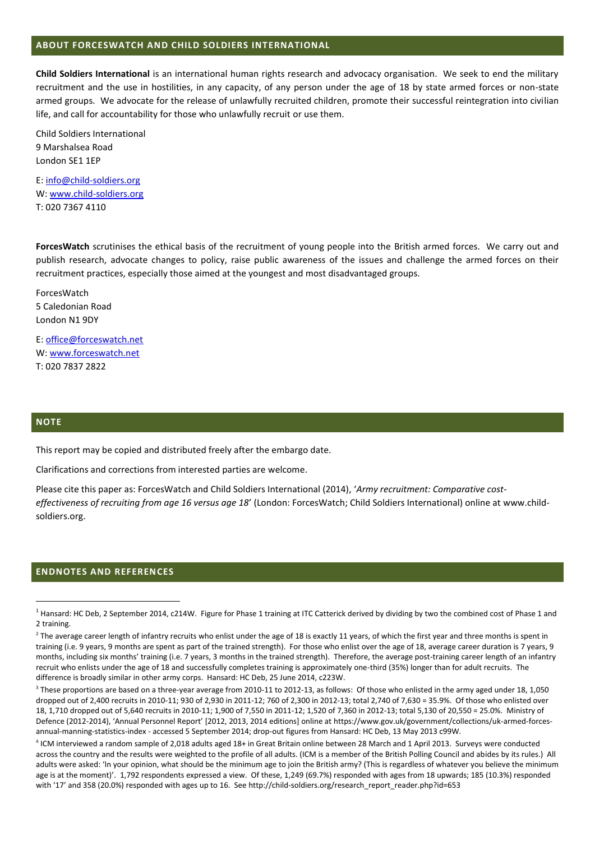#### **ABOUT FORCESWATCH AND CHILD SOLDIERS INTERNATIONAL**

**Child Soldiers International** is an international human rights research and advocacy organisation. We seek to end the military recruitment and the use in hostilities, in any capacity, of any person under the age of 18 by state armed forces or non-state armed groups. We advocate for the release of unlawfully recruited children, promote their successful reintegration into civilian life, and call for accountability for those who unlawfully recruit or use them.

Child Soldiers International 9 Marshalsea Road London SE1 1EP

E: [info@child-soldiers.org](mailto:info@child-soldiers.org) W: [www.child-soldiers.org](http://www.child-soldiers.org/) T: 020 7367 4110

**ForcesWatch** scrutinises the ethical basis of the recruitment of young people into the British armed forces. We carry out and publish research, advocate changes to policy, raise public awareness of the issues and challenge the armed forces on their recruitment practices, especially those aimed at the youngest and most disadvantaged groups.

ForcesWatch 5 Caledonian Road London N1 9DY

E: [office@forceswatch.net](mailto:office@forceswatch.net) W: [www.forceswatch.net](http://www.forceswatch.net/) T: 020 7837 2822

#### **NOTE**

**.** 

This report may be copied and distributed freely after the embargo date.

Clarifications and corrections from interested parties are welcome.

Please cite this paper as: ForcesWatch and Child Soldiers International (2014), '*Army recruitment: Comparative costeffectiveness of recruiting from age 16 versus age 18*' (London: ForcesWatch; Child Soldiers International) online at www.childsoldiers.org.

#### **ENDNOTES AND REFERENCES**

 $1$  Hansard: HC Deb, 2 September 2014, c214W. Figure for Phase 1 training at ITC Catterick derived by dividing by two the combined cost of Phase 1 and 2 training.

<sup>&</sup>lt;sup>2</sup> The average career length of infantry recruits who enlist under the age of 18 is exactly 11 years, of which the first year and three months is spent in training (i.e. 9 years, 9 months are spent as part of the trained strength). For those who enlist over the age of 18, average career duration is 7 years, 9 months, including six months' training (i.e. 7 years, 3 months in the trained strength). Therefore, the average post-training career length of an infantry recruit who enlists under the age of 18 and successfully completes training is approximately one-third (35%) longer than for adult recruits. The difference is broadly similar in other army corps. Hansard: HC Deb, 25 June 2014, c223W.

<sup>&</sup>lt;sup>3</sup> These proportions are based on a three-year average from 2010-11 to 2012-13, as follows: Of those who enlisted in the army aged under 18, 1,050 dropped out of 2,400 recruits in 2010-11; 930 of 2,930 in 2011-12; 760 of 2,300 in 2012-13; total 2,740 of 7,630 = 35.9%. Of those who enlisted over 18, 1,710 dropped out of 5,640 recruits in 2010-11; 1,900 of 7,550 in 2011-12; 1,520 of 7,360 in 2012-13; total 5,130 of 20,550 = 25.0%. Ministry of Defence (2012-2014), 'Annual Personnel Report' [2012, 2013, 2014 editions] online at https://www.gov.uk/government/collections/uk-armed-forcesannual-manning-statistics-index - accessed 5 September 2014; drop-out figures from Hansard: HC Deb, 13 May 2013 c99W.

<sup>4</sup> ICM interviewed a random sample of 2,018 adults aged 18+ in Great Britain online between 28 March and 1 April 2013. Surveys were conducted across the country and the results were weighted to the profile of all adults. (ICM is a member of the British Polling Council and abides by its rules.) All adults were asked: 'In your opinion, what should be the minimum age to join the British army? (This is regardless of whatever you believe the minimum age is at the moment)'. 1,792 respondents expressed a view. Of these, 1,249 (69.7%) responded with ages from 18 upwards; 185 (10.3%) responded with '17' and 358 (20.0%) responded with ages up to 16. See http://child-soldiers.org/research\_report\_reader.php?id=653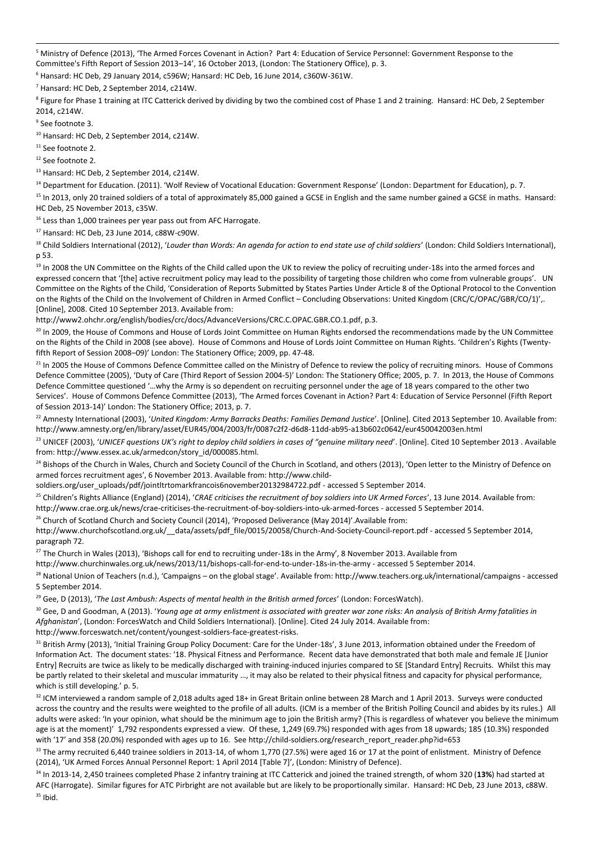-<sup>5</sup> Ministry of Defence (2013), 'The Armed Forces Covenant in Action? Part 4: Education of Service Personnel: Government Response to the Committee's Fifth Report of Session 2013–14', 16 October 2013, (London: The Stationery Office), p. 3.

 $6$  Hansard: HC Deb, 29 January 2014, c596W; Hansard: HC Deb, 16 June 2014, c360W-361W.

<sup>7</sup> Hansard: HC Deb, 2 September 2014, c214W.

<sup>8</sup> Figure for Phase 1 training at ITC Catterick derived by dividing by two the combined cost of Phase 1 and 2 training. Hansard: HC Deb, 2 September 2014, c214W.

9 See footnot[e 3.](#page-0-0)

<sup>10</sup> Hansard: HC Deb, 2 September 2014, c214W.

<sup>11</sup> See footnot[e 2.](#page-0-1)

<sup>12</sup> See footnot[e 2.](#page-0-1)

<sup>13</sup> Hansard: HC Deb, 2 September 2014, c214W.

<sup>14</sup> Department for Education. (2011). 'Wolf Review of Vocational Education: Government Response' (London: Department for Education), p. 7.

<sup>15</sup> In 2013, only 20 trained soldiers of a total of approximately 85,000 gained a GCSE in English and the same number gained a GCSE in maths. Hansard: HC Deb, 25 November 2013, c35W.

<sup>16</sup> Less than 1,000 trainees per year pass out from AFC Harrogate.

<sup>17</sup> Hansard: HC Deb, 23 June 2014, c88W-c90W.

<sup>18</sup> Child Soldiers International (2012), 'Louder than Words: An agenda for action to end state use of child soldiers' (London: Child Soldiers International), p 53.

<sup>19</sup> In 2008 the UN Committee on the Rights of the Child called upon the UK to review the policy of recruiting under-18s into the armed forces and expressed concern that '[the] active recruitment policy may lead to the possibility of targeting those children who come from vulnerable groups'. UN Committee on the Rights of the Child, 'Consideration of Reports Submitted by States Parties Under Article 8 of the Optional Protocol to the Convention on the Rights of the Child on the Involvement of Children in Armed Conflict – Concluding Observations: United Kingdom (CRC/C/OPAC/GBR/CO/1)',. [Online], 2008. Cited 10 September 2013. Available from:

http://www2.ohchr.org/english/bodies/crc/docs/AdvanceVersions/CRC.C.OPAC.GBR.CO.1.pdf, p.3.

<sup>20</sup> In 2009, the House of Commons and House of Lords Joint Committee on Human Rights endorsed the recommendations made by the UN Committee on the Rights of the Child in 2008 (see above). House of Commons and House of Lords Joint Committee on Human Rights. 'Children's Rights (Twentyfifth Report of Session 2008–09)' London: The Stationery Office; 2009, pp. 47-48.

<sup>21</sup> In 2005 the House of Commons Defence Committee called on the Ministry of Defence to review the policy of recruiting minors. House of Commons Defence Committee (2005), 'Duty of Care (Third Report of Session 2004-5)' London: The Stationery Office; 2005, p. 7. In 2013, the House of Commons Defence Committee questioned '…why the Army is so dependent on recruiting personnel under the age of 18 years compared to the other two Services'. House of Commons Defence Committee (2013), 'The Armed forces Covenant in Action? Part 4: Education of Service Personnel (Fifth Report of Session 2013-14)' London: The Stationery Office; 2013, p. 7.

<sup>22</sup> Amnesty International (2003), 'United Kingdom: Army Barracks Deaths: Families Demand Justice'. [Online]. Cited 2013 September 10. Available from: http://www.amnesty.org/en/library/asset/EUR45/004/2003/fr/0087c2f2-d6d8-11dd-ab95-a13b602c0642/eur450042003en.html

<sup>23</sup> UNICEF (2003), '*UNICEF questions UK's right to deploy child soldiers in cases of "genuine military need*'. [Online]. Cited 10 September 2013 . Available from: http://www.essex.ac.uk/armedcon/story\_id/000085.html.

<sup>24</sup> Bishops of the Church in Wales, Church and Society Council of the Church in Scotland, and others (2013), 'Open letter to the Ministry of Defence on armed forces recruitment ages', 6 November 2013. Available from: http://www.child-

soldiers.org/user\_uploads/pdf/jointltrtomarkfrancois6november20132984722.pdf - accessed 5 September 2014.

<sup>25</sup> Children's Rights Alliance (England) (2014), 'CRAE criticises the recruitment of boy soldiers into UK Armed Forces', 13 June 2014. Available from: http://www.crae.org.uk/news/crae-criticises-the-recruitment-of-boy-soldiers-into-uk-armed-forces - accessed 5 September 2014.

<sup>26</sup> Church of Scotland Church and Society Council (2014), 'Proposed Deliverance (May 2014)'.Available from:

http://www.churchofscotland.org.uk/\_\_data/assets/pdf\_file/0015/20058/Church-And-Society-Council-report.pdf - accessed 5 September 2014, paragraph 72.

<sup>27</sup> The Church in Wales (2013), 'Bishops call for end to recruiting under-18s in the Army', 8 November 2013. Available from

http://www.churchinwales.org.uk/news/2013/11/bishops-call-for-end-to-under-18s-in-the-army - accessed 5 September 2014.

<sup>28</sup> National Union of Teachers (n.d.), 'Campaigns – on the global stage'. Available from: http://www.teachers.org.uk/international/campaigns - accessed 5 September 2014.

<sup>29</sup> Gee, D (2013), '*The Last Ambush: Aspects of mental health in the British armed forces*' (London: ForcesWatch).

<sup>30</sup> Gee, D and Goodman, A (2013). '*Young age at army enlistment is associated with greater war zone risks: An analysis of British Army fatalities in*  Afghanistan', (London: ForcesWatch and Child Soldiers International). [Online]. Cited 24 July 2014. Available from:

http://www.forceswatch.net/content/youngest-soldiers-face-greatest-risks.

<sup>31</sup> British Army (2013), 'Initial Training Group Policy Document: Care for the Under-18s', 3 June 2013, information obtained under the Freedom of Information Act. The document states: '18. Physical Fitness and Performance. Recent data have demonstrated that both male and female JE [Junior Entry] Recruits are twice as likely to be medically discharged with training-induced injuries compared to SE [Standard Entry] Recruits. Whilst this may be partly related to their skeletal and muscular immaturity ..., it may also be related to their physical fitness and capacity for physical performance, which is still developing.' p. 5.

32 ICM interviewed a random sample of 2,018 adults aged 18+ in Great Britain online between 28 March and 1 April 2013. Surveys were conducted across the country and the results were weighted to the profile of all adults. (ICM is a member of the British Polling Council and abides by its rules.) All adults were asked: 'In your opinion, what should be the minimum age to join the British army? (This is regardless of whatever you believe the minimum age is at the moment)' 1,792 respondents expressed a view. Of these, 1,249 (69.7%) responded with ages from 18 upwards; 185 (10.3%) responded with '17' and 358 (20.0%) responded with ages up to 16. See http://child-soldiers.org/research\_report\_reader.php?id=653

 $33$  The army recruited 6,440 trainee soldiers in 2013-14, of whom 1,770 (27.5%) were aged 16 or 17 at the point of enlistment. Ministry of Defence (2014), 'UK Armed Forces Annual Personnel Report: 1 April 2014 [Table 7]', (London: Ministry of Defence).

<sup>34</sup> In 2013-14, 2,450 trainees completed Phase 2 infantry training at ITC Catterick and joined the trained strength, of whom 320 (**13%**) had started at AFC (Harrogate). Similar figures for ATC Pirbright are not available but are likely to be proportionally similar. Hansard: HC Deb, 23 June 2013, c88W.  $35$  Ibid.